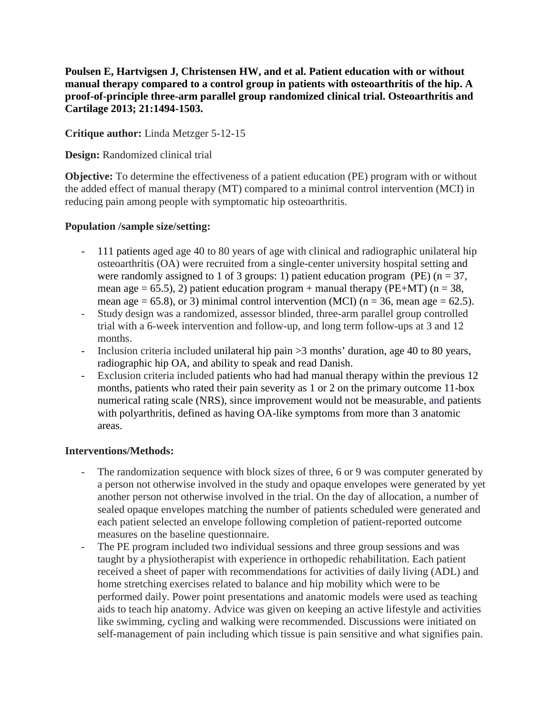**Poulsen E, Hartvigsen J, Christensen HW, and et al. Patient education with or without manual therapy compared to a control group in patients with osteoarthritis of the hip. A proof-of-principle three-arm parallel group randomized clinical trial. Osteoarthritis and Cartilage 2013; 21:1494-1503.**

**Critique author:** Linda Metzger 5-12-15

**Design:** Randomized clinical trial

**Objective:** To determine the effectiveness of a patient education (PE) program with or without the added effect of manual therapy (MT) compared to a minimal control intervention (MCI) in reducing pain among people with symptomatic hip osteoarthritis.

## **Population /sample size/setting:**

- 111 patients aged age 40 to 80 years of age with clinical and radiographic unilateral hip osteoarthritis (OA) were recruited from a single-center university hospital setting and were randomly assigned to 1 of 3 groups: 1) patient education program (PE) ( $n = 37$ , mean age = 65.5), 2) patient education program + manual therapy (PE+MT) ( $n = 38$ , mean age = 65.8), or 3) minimal control intervention (MCI) ( $n = 36$ , mean age = 62.5).
- Study design was a randomized, assessor blinded, three-arm parallel group controlled trial with a 6-week intervention and follow-up, and long term follow-ups at 3 and 12 months.
- Inclusion criteria included unilateral hip pain >3 months' duration, age 40 to 80 years, radiographic hip OA, and ability to speak and read Danish.
- Exclusion criteria included patients who had had manual therapy within the previous 12 months, patients who rated their pain severity as 1 or 2 on the primary outcome 11-box numerical rating scale (NRS), since improvement would not be measurable, and patients with polyarthritis, defined as having OA-like symptoms from more than 3 anatomic areas.

### **Interventions/Methods:**

- The randomization sequence with block sizes of three, 6 or 9 was computer generated by a person not otherwise involved in the study and opaque envelopes were generated by yet another person not otherwise involved in the trial. On the day of allocation, a number of sealed opaque envelopes matching the number of patients scheduled were generated and each patient selected an envelope following completion of patient-reported outcome measures on the baseline questionnaire.
- The PE program included two individual sessions and three group sessions and was taught by a physiotherapist with experience in orthopedic rehabilitation. Each patient received a sheet of paper with recommendations for activities of daily living (ADL) and home stretching exercises related to balance and hip mobility which were to be performed daily. Power point presentations and anatomic models were used as teaching aids to teach hip anatomy. Advice was given on keeping an active lifestyle and activities like swimming, cycling and walking were recommended. Discussions were initiated on self-management of pain including which tissue is pain sensitive and what signifies pain.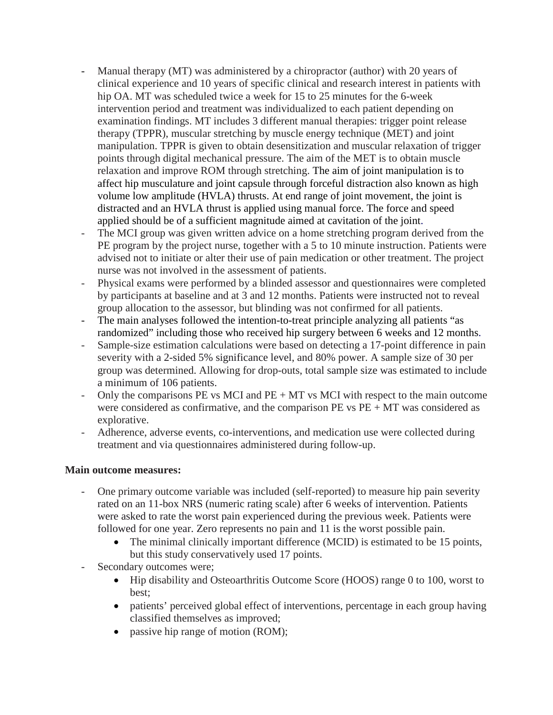- Manual therapy (MT) was administered by a chiropractor (author) with 20 years of clinical experience and 10 years of specific clinical and research interest in patients with hip OA. MT was scheduled twice a week for 15 to 25 minutes for the 6-week intervention period and treatment was individualized to each patient depending on examination findings. MT includes 3 different manual therapies: trigger point release therapy (TPPR), muscular stretching by muscle energy technique (MET) and joint manipulation. TPPR is given to obtain desensitization and muscular relaxation of trigger points through digital mechanical pressure. The aim of the MET is to obtain muscle relaxation and improve ROM through stretching. The aim of joint manipulation is to affect hip musculature and joint capsule through forceful distraction also known as high volume low amplitude (HVLA) thrusts. At end range of joint movement, the joint is distracted and an HVLA thrust is applied using manual force. The force and speed applied should be of a sufficient magnitude aimed at cavitation of the joint.
- The MCI group was given written advice on a home stretching program derived from the PE program by the project nurse, together with a 5 to 10 minute instruction. Patients were advised not to initiate or alter their use of pain medication or other treatment. The project nurse was not involved in the assessment of patients.
- Physical exams were performed by a blinded assessor and questionnaires were completed by participants at baseline and at 3 and 12 months. Patients were instructed not to reveal group allocation to the assessor, but blinding was not confirmed for all patients.
- The main analyses followed the intention-to-treat principle analyzing all patients "as randomized" including those who received hip surgery between 6 weeks and 12 months.
- Sample-size estimation calculations were based on detecting a 17-point difference in pain severity with a 2-sided 5% significance level, and 80% power. A sample size of 30 per group was determined. Allowing for drop-outs, total sample size was estimated to include a minimum of 106 patients.
- Only the comparisons  $PE$  vs MCI and  $PE + MT$  vs MCI with respect to the main outcome were considered as confirmative, and the comparison  $PE$  vs  $PE + MT$  was considered as explorative.
- Adherence, adverse events, co-interventions, and medication use were collected during treatment and via questionnaires administered during follow-up.

### **Main outcome measures:**

- One primary outcome variable was included (self-reported) to measure hip pain severity rated on an 11-box NRS (numeric rating scale) after 6 weeks of intervention. Patients were asked to rate the worst pain experienced during the previous week. Patients were followed for one year. Zero represents no pain and 11 is the worst possible pain.
	- The minimal clinically important difference (MCID) is estimated to be 15 points, but this study conservatively used 17 points.
- Secondary outcomes were;
	- Hip disability and Osteoarthritis Outcome Score (HOOS) range 0 to 100, worst to best;
	- patients' perceived global effect of interventions, percentage in each group having classified themselves as improved;
	- passive hip range of motion (ROM);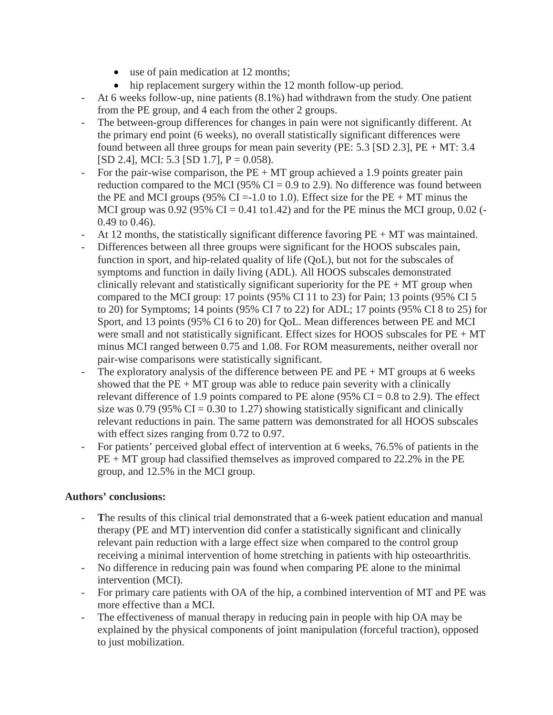- use of pain medication at 12 months;
- hip replacement surgery within the 12 month follow-up period.
- At 6 weeks follow-up, nine patients (8.1%) had withdrawn from the study. One patient from the PE group, and 4 each from the other 2 groups.
- The between-group differences for changes in pain were not significantly different. At the primary end point (6 weeks), no overall statistically significant differences were found between all three groups for mean pain severity (PE: 5.3 [SD 2.3], PE + MT: 3.4  $[SD 2.4]$ , MCI: 5.3  $[SD 1.7]$ , P = 0.058).
- For the pair-wise comparison, the  $PE + MT$  group achieved a 1.9 points greater pain reduction compared to the MCI (95%  $CI = 0.9$  to 2.9). No difference was found between the PE and MCI groups (95% CI = -1.0 to 1.0). Effect size for the PE  $+$  MT minus the MCI group was  $0.92$  (95% CI = 0.41 to1.42) and for the PE minus the MCI group, 0.02 (-0.49 to 0.46).
- At 12 months, the statistically significant difference favoring  $PE + MT$  was maintained.
- Differences between all three groups were significant for the HOOS subscales pain, function in sport, and hip-related quality of life (QoL), but not for the subscales of symptoms and function in daily living (ADL). All HOOS subscales demonstrated clinically relevant and statistically significant superiority for the  $PE + MT$  group when compared to the MCI group: 17 points (95% CI 11 to 23) for Pain; 13 points (95% CI 5 to 20) for Symptoms; 14 points (95% CI 7 to 22) for ADL; 17 points (95% CI 8 to 25) for Sport, and 13 points (95% CI 6 to 20) for QoL. Mean differences between PE and MCI were small and not statistically significant. Effect sizes for HOOS subscales for  $PE + MT$ minus MCI ranged between 0.75 and 1.08. For ROM measurements, neither overall nor pair-wise comparisons were statistically significant.
- The exploratory analysis of the difference between  $PE$  and  $PE + MT$  groups at 6 weeks showed that the  $PE + MT$  group was able to reduce pain severity with a clinically relevant difference of 1.9 points compared to PE alone (95%  $CI = 0.8$  to 2.9). The effect size was 0.79 (95%  $CI = 0.30$  to 1.27) showing statistically significant and clinically relevant reductions in pain. The same pattern was demonstrated for all HOOS subscales with effect sizes ranging from 0.72 to 0.97.
- For patients' perceived global effect of intervention at 6 weeks, 76.5% of patients in the PE + MT group had classified themselves as improved compared to 22.2% in the PE group, and 12.5% in the MCI group.

### **Authors' conclusions:**

- **T**he results of this clinical trial demonstrated that a 6-week patient education and manual therapy (PE and MT) intervention did confer a statistically significant and clinically relevant pain reduction with a large effect size when compared to the control group receiving a minimal intervention of home stretching in patients with hip osteoarthritis.
- No difference in reducing pain was found when comparing PE alone to the minimal intervention (MCI).
- For primary care patients with OA of the hip, a combined intervention of MT and PE was more effective than a MCI.
- The effectiveness of manual therapy in reducing pain in people with hip OA may be explained by the physical components of joint manipulation (forceful traction), opposed to just mobilization.